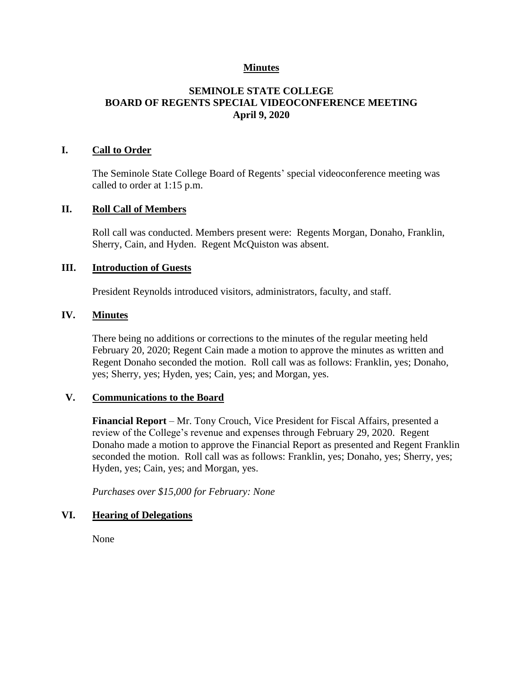## **Minutes**

# **SEMINOLE STATE COLLEGE BOARD OF REGENTS SPECIAL VIDEOCONFERENCE MEETING April 9, 2020**

### **I. Call to Order**

The Seminole State College Board of Regents' special videoconference meeting was called to order at 1:15 p.m.

#### **II. Roll Call of Members**

Roll call was conducted. Members present were: Regents Morgan, Donaho, Franklin, Sherry, Cain, and Hyden. Regent McQuiston was absent.

# **III. Introduction of Guests**

President Reynolds introduced visitors, administrators, faculty, and staff.

### **IV. Minutes**

There being no additions or corrections to the minutes of the regular meeting held February 20, 2020; Regent Cain made a motion to approve the minutes as written and Regent Donaho seconded the motion. Roll call was as follows: Franklin, yes; Donaho, yes; Sherry, yes; Hyden, yes; Cain, yes; and Morgan, yes.

### **V. Communications to the Board**

**Financial Report** – Mr. Tony Crouch, Vice President for Fiscal Affairs, presented a review of the College's revenue and expenses through February 29, 2020. Regent Donaho made a motion to approve the Financial Report as presented and Regent Franklin seconded the motion. Roll call was as follows: Franklin, yes; Donaho, yes; Sherry, yes; Hyden, yes; Cain, yes; and Morgan, yes.

*Purchases over \$15,000 for February: None*

### **VI. Hearing of Delegations**

None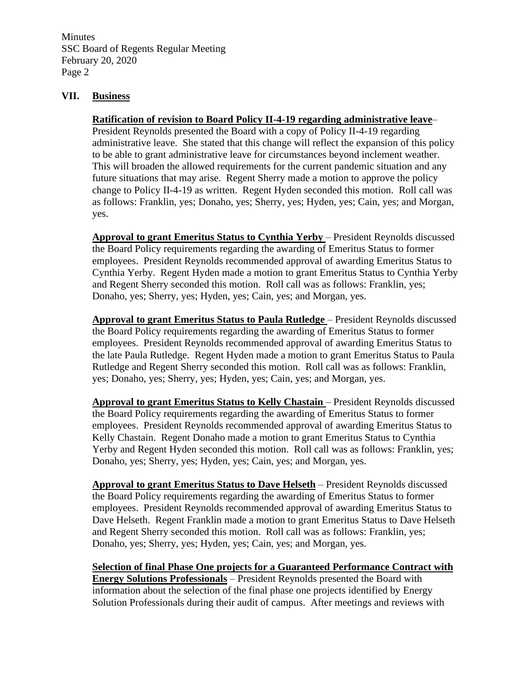Minutes SSC Board of Regents Regular Meeting February 20, 2020 Page 2

## **VII. Business**

#### **Ratification of revision to Board Policy II-4-19 regarding administrative leave**–

President Reynolds presented the Board with a copy of Policy II-4-19 regarding administrative leave. She stated that this change will reflect the expansion of this policy to be able to grant administrative leave for circumstances beyond inclement weather. This will broaden the allowed requirements for the current pandemic situation and any future situations that may arise. Regent Sherry made a motion to approve the policy change to Policy II-4-19 as written. Regent Hyden seconded this motion. Roll call was as follows: Franklin, yes; Donaho, yes; Sherry, yes; Hyden, yes; Cain, yes; and Morgan, yes.

**Approval to grant Emeritus Status to Cynthia Yerby** – President Reynolds discussed the Board Policy requirements regarding the awarding of Emeritus Status to former employees. President Reynolds recommended approval of awarding Emeritus Status to Cynthia Yerby. Regent Hyden made a motion to grant Emeritus Status to Cynthia Yerby and Regent Sherry seconded this motion. Roll call was as follows: Franklin, yes; Donaho, yes; Sherry, yes; Hyden, yes; Cain, yes; and Morgan, yes.

**Approval to grant Emeritus Status to Paula Rutledge** – President Reynolds discussed the Board Policy requirements regarding the awarding of Emeritus Status to former employees. President Reynolds recommended approval of awarding Emeritus Status to the late Paula Rutledge. Regent Hyden made a motion to grant Emeritus Status to Paula Rutledge and Regent Sherry seconded this motion. Roll call was as follows: Franklin, yes; Donaho, yes; Sherry, yes; Hyden, yes; Cain, yes; and Morgan, yes.

**Approval to grant Emeritus Status to Kelly Chastain** – President Reynolds discussed the Board Policy requirements regarding the awarding of Emeritus Status to former employees. President Reynolds recommended approval of awarding Emeritus Status to Kelly Chastain. Regent Donaho made a motion to grant Emeritus Status to Cynthia Yerby and Regent Hyden seconded this motion. Roll call was as follows: Franklin, yes; Donaho, yes; Sherry, yes; Hyden, yes; Cain, yes; and Morgan, yes.

**Approval to grant Emeritus Status to Dave Helseth** – President Reynolds discussed the Board Policy requirements regarding the awarding of Emeritus Status to former employees. President Reynolds recommended approval of awarding Emeritus Status to Dave Helseth. Regent Franklin made a motion to grant Emeritus Status to Dave Helseth and Regent Sherry seconded this motion. Roll call was as follows: Franklin, yes; Donaho, yes; Sherry, yes; Hyden, yes; Cain, yes; and Morgan, yes.

**Selection of final Phase One projects for a Guaranteed Performance Contract with Energy Solutions Professionals** – President Reynolds presented the Board with information about the selection of the final phase one projects identified by Energy Solution Professionals during their audit of campus. After meetings and reviews with